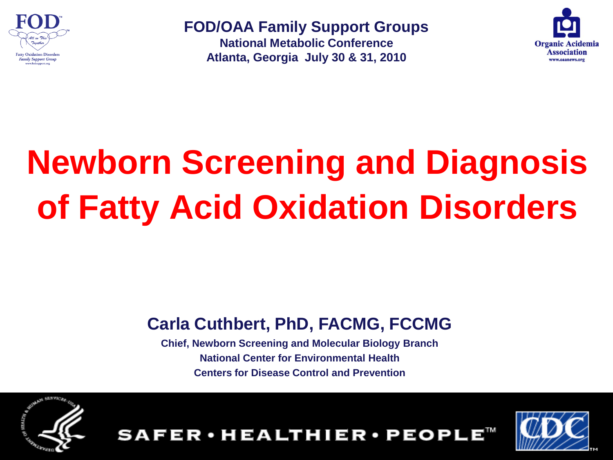

**FOD/OAA Family Support Groups** 

**National Metabolic Conference Atlanta, Georgia July 30 & 31, 2010**



# **Newborn Screening and Diagnosis of Fatty Acid Oxidation Disorders**

### **Carla Cuthbert, PhD, FACMG, FCCMG**

**Chief, Newborn Screening and Molecular Biology Branch National Center for Environmental Health Centers for Disease Control and Prevention**

FER·HEALTHIER·PEOPLE™



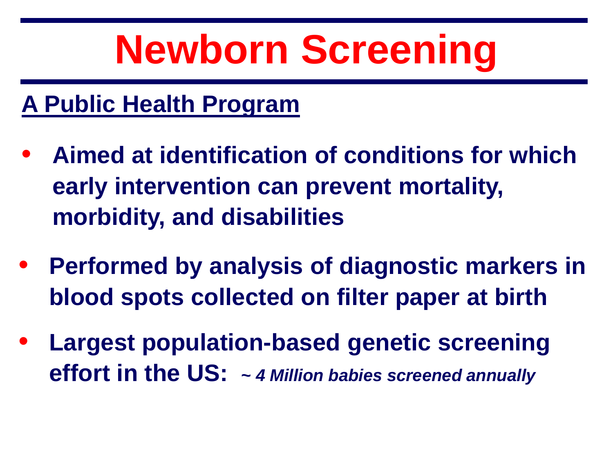# **Newborn Screening**

### **A Public Health Program**

- **Aimed at identification of conditions for which early intervention can prevent mortality, morbidity, and disabilities**
- **Performed by analysis of diagnostic markers in blood spots collected on filter paper at birth**
- **Largest population-based genetic screening effort in the US: ~** *4 Million babies screened annually*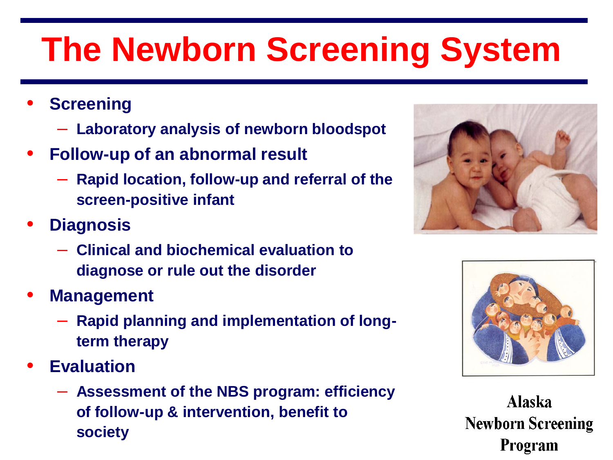### **The Newborn Screening System**

- **Screening** 
	- **Laboratory analysis of newborn bloodspot**
- **Follow-up of an abnormal result**
	- **Rapid location, follow-up and referral of the screen-positive infant**
- **Diagnosis** 
	- **Clinical and biochemical evaluation to diagnose or rule out the disorder**
- **Management**
	- **Rapid planning and implementation of longterm therapy**
- **Evaluation**
	- **Assessment of the NBS program: efficiency of follow-up & intervention, benefit to society**





**Alaska Newborn Screening Program**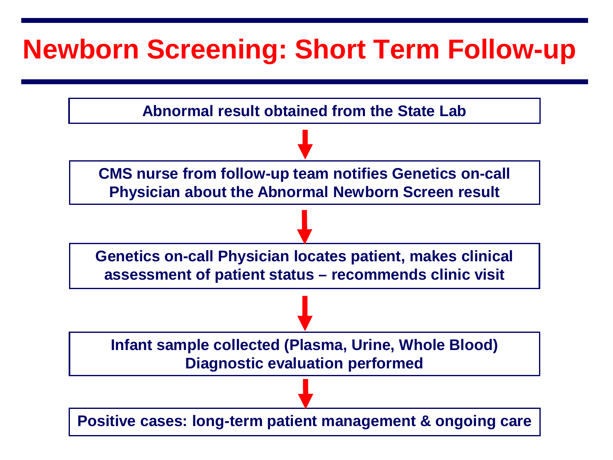### **Newborn Screening: Short Term Follow-up**

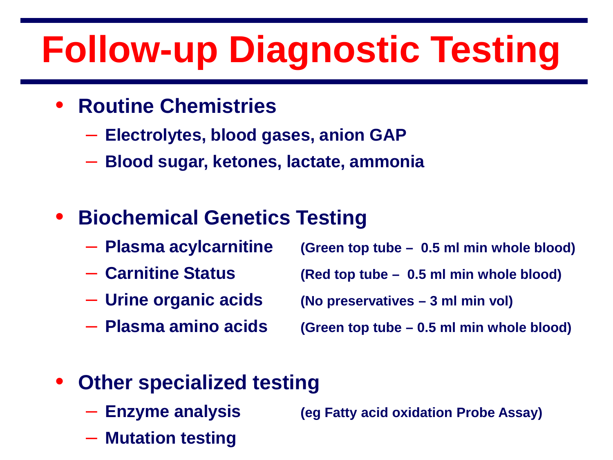## **Follow-up Diagnostic Testing**

- **Routine Chemistries** 
	- **Electrolytes, blood gases, anion GAP**
	- **Blood sugar, ketones, lactate, ammonia**

### • **Biochemical Genetics Testing**

- **Plasma acylcarnitine (Green top tube – 0.5 ml min whole blood)**
- **Carnitine Status (Red top tube – 0.5 ml min whole blood)**
- 
- 
- 
- **Urine organic acids (No preservatives – 3 ml min vol)**
- **Plasma amino acids (Green top tube – 0.5 ml min whole blood)**
- **Other specialized testing** 
	- **Enzyme analysis (eg Fatty acid oxidation Probe Assay)**
	- **Mutation testing**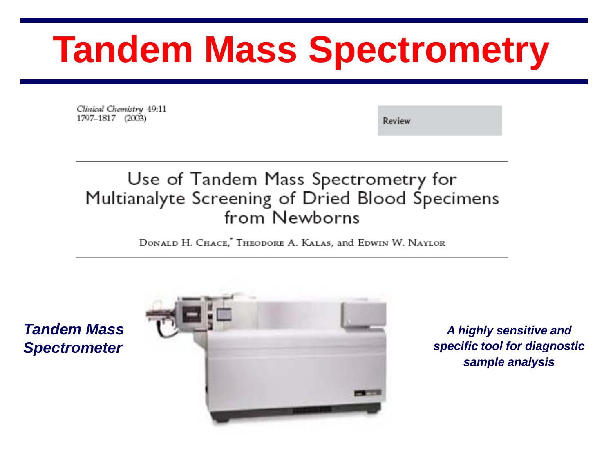## **Tandem Mass Spectrometry**

Clinical Chemistry 49:11 1797-1817 (2003)

Review

#### Use of Tandem Mass Spectrometry for Multianalyte Screening of Dried Blood Specimens from Newborns

DONALD H. CHACE," THEODORE A. KALAS, and EDWIN W. NAYLOR

*Tandem Mass Spectrometer*



*A highly sensitive and specific tool for diagnostic sample analysis*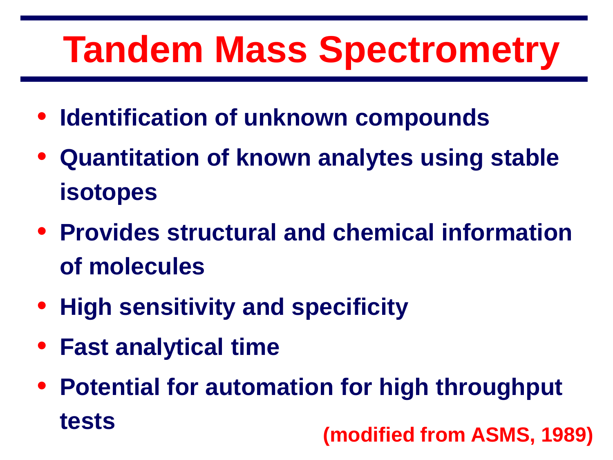## **Tandem Mass Spectrometry**

- **Identification of unknown compounds**
- **Quantitation of known analytes using stable isotopes**
- **Provides structural and chemical information of molecules**
- **High sensitivity and specificity**
- **Fast analytical time**
- **Potential for automation for high throughput tests (modified from ASMS, 1989)**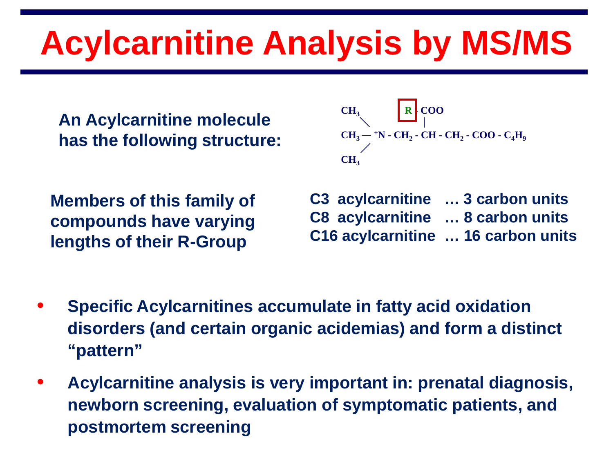## **Acylcarnitine Analysis by MS/MS**

**An Acylcarnitine molecule has the following structure:**

CH<sub>3</sub>  
\nCH<sub>3</sub> - 
$$
\uparrow
$$
N - CH<sub>2</sub> - CH - CH<sub>2</sub> - COO - C<sub>4</sub>H<sub>9</sub>  
\nCH<sub>3</sub>

**Members of this family of compounds have varying lengths of their R-Group**

**C3 acylcarnitine … 3 carbon units C8 acylcarnitine … 8 carbon units C16 acylcarnitine … 16 carbon units**

- **Specific Acylcarnitines accumulate in fatty acid oxidation disorders (and certain organic acidemias) and form a distinct "pattern"**
- **Acylcarnitine analysis is very important in: prenatal diagnosis, newborn screening, evaluation of symptomatic patients, and postmortem screening**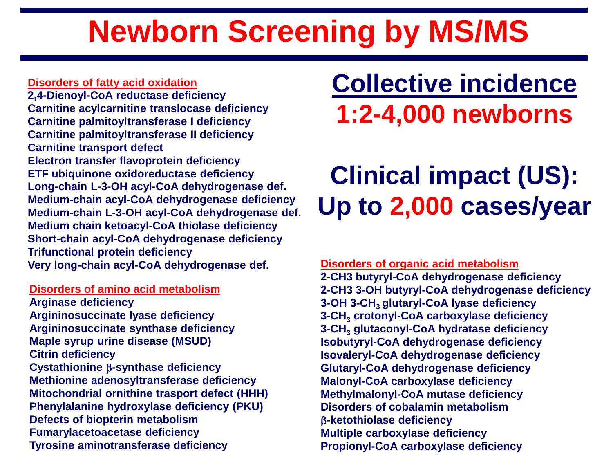### **Newborn Screening by MS/MS**

#### **Disorders of fatty acid oxidation**

**2,4-Dienoyl-CoA reductase deficiency Carnitine acylcarnitine translocase deficiency Carnitine palmitoyltransferase I deficiency Carnitine palmitoyltransferase II deficiency Carnitine transport defect Electron transfer flavoprotein deficiency ETF ubiquinone oxidoreductase deficiency Long-chain L-3-OH acyl-CoA dehydrogenase def. Medium-chain acyl-CoA dehydrogenase deficiency Medium-chain L-3-OH acyl-CoA dehydrogenase def. Medium chain ketoacyl-CoA thiolase deficiency Short-chain acyl-CoA dehydrogenase deficiency Trifunctional protein deficiency Very long-chain acyl-CoA dehydrogenase def.**

#### **Disorders of amino acid metabolism**

**Arginase deficiency Argininosuccinate lyase deficiency Argininosuccinate synthase deficiency Maple syrup urine disease (MSUD) Citrin deficiency Cystathionine** β**-synthase deficiency Methionine adenosyltransferase deficiency Mitochondrial ornithine trasport defect (HHH) Phenylalanine hydroxylase deficiency (PKU) Defects of biopterin metabolism Fumarylacetoacetase deficiency Tyrosine aminotransferase deficiency**

### **Collective incidence 1:2-4,000 newborns**

### **Clinical impact (US): Up to 2,000 cases/year**

**Disorders of organic acid metabolism 2-CH3 butyryl-CoA dehydrogenase deficiency 2-CH3 3-OH butyryl-CoA dehydrogenase deficiency 3-OH 3-CH3 glutaryl-CoA lyase deficiency 3-CH3 crotonyl-CoA carboxylase deficiency 3-CH3 glutaconyl-CoA hydratase deficiency Isobutyryl-CoA dehydrogenase deficiency Isovaleryl-CoA dehydrogenase deficiency Glutaryl-CoA dehydrogenase deficiency Malonyl-CoA carboxylase deficiency Methylmalonyl-CoA mutase deficiency Disorders of cobalamin metabolism** β**-ketothiolase deficiency Multiple carboxylase deficiency Propionyl-CoA carboxylase deficiency**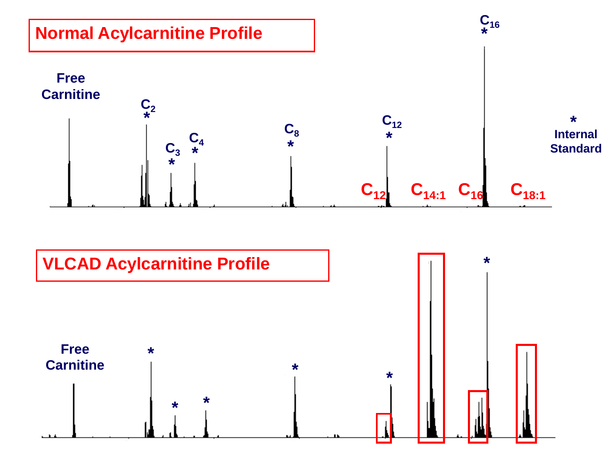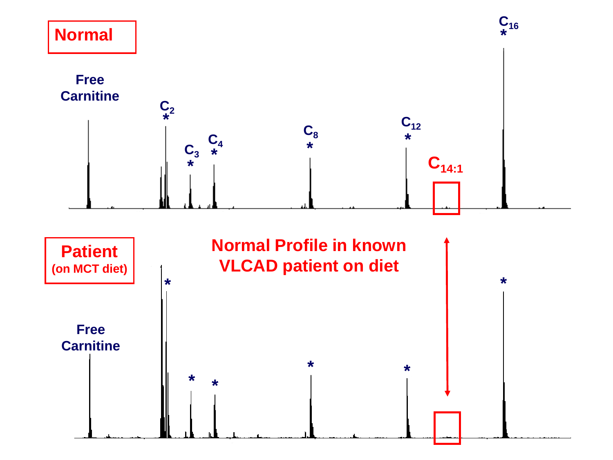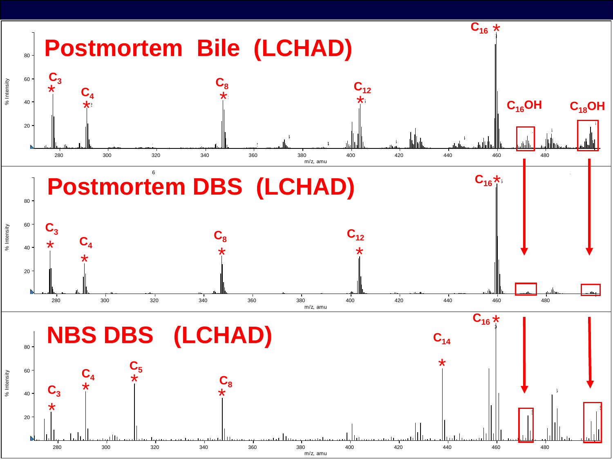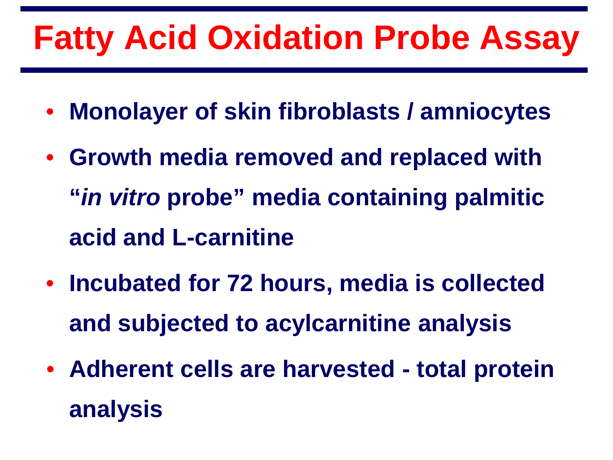### **Fatty Acid Oxidation Probe Assay**

- **Monolayer of skin fibroblasts / amniocytes**
- **Growth media removed and replaced with "***in vitro* **probe" media containing palmitic acid and L-carnitine**
- **Incubated for 72 hours, media is collected and subjected to acylcarnitine analysis**
- **Adherent cells are harvested - total protein analysis**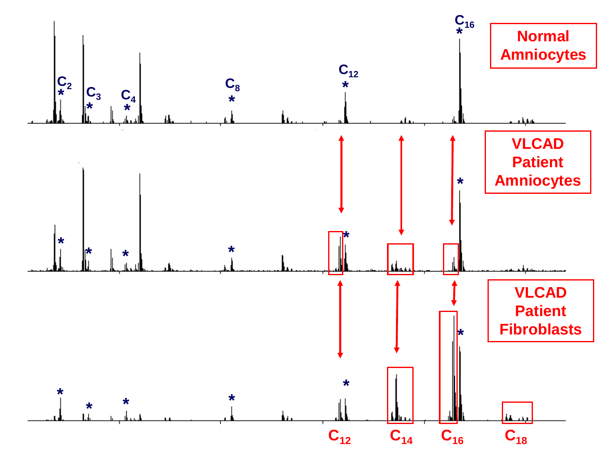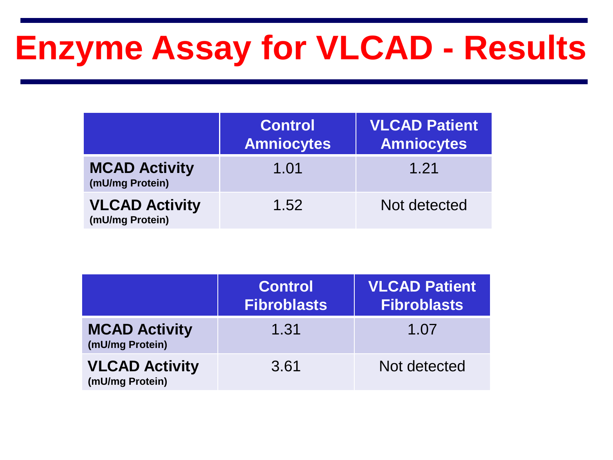### **Enzyme Assay for VLCAD - Results**

|                                          | <b>Control</b><br><b>Amniocytes</b> | <b>VLCAD Patient</b><br><b>Amniocytes</b> |
|------------------------------------------|-------------------------------------|-------------------------------------------|
| <b>MCAD Activity</b><br>(mU/mg Protein)  | 1.01                                | 1.21                                      |
| <b>VLCAD Activity</b><br>(mU/mg Protein) | 1.52                                | Not detected                              |

|                                          | <b>Control</b><br><b>Fibroblasts</b> | <b>VLCAD Patient</b><br><b>Fibroblasts</b> |
|------------------------------------------|--------------------------------------|--------------------------------------------|
| <b>MCAD Activity</b><br>(mU/mg Protein)  | 1.31                                 | 1.07                                       |
| <b>VLCAD Activity</b><br>(mU/mg Protein) | 3.61                                 | Not detected                               |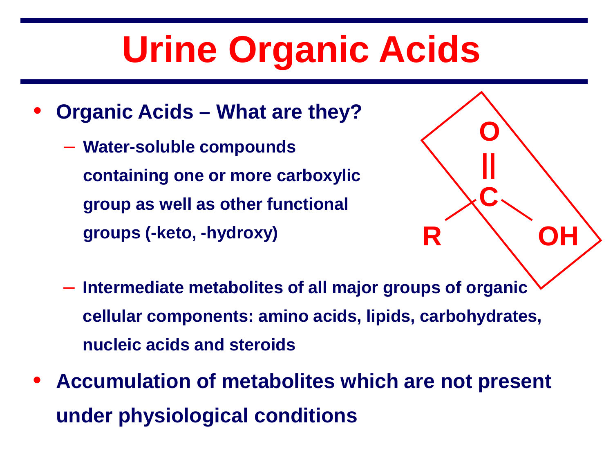## **Urine Organic Acids**

- **Organic Acids – What are they?** 
	- **Water-soluble compounds containing one or more carboxylic group as well as other functional groups (-keto, -hydroxy)**



- **Intermediate metabolites of all major groups of organic cellular components: amino acids, lipids, carbohydrates, nucleic acids and steroids**
- **Accumulation of metabolites which are not present under physiological conditions**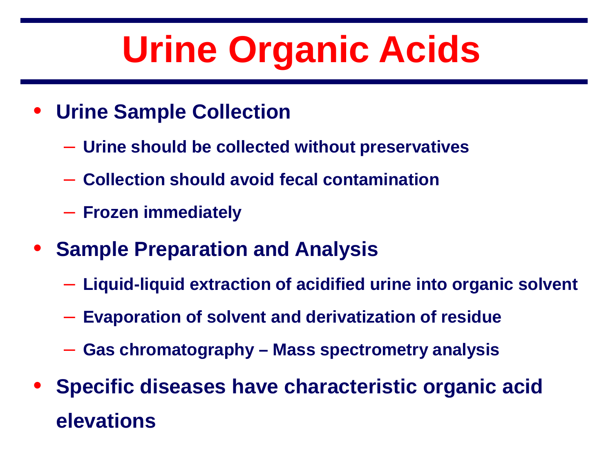## **Urine Organic Acids**

- **Urine Sample Collection** 
	- **Urine should be collected without preservatives**
	- **Collection should avoid fecal contamination**
	- **Frozen immediately**
- **Sample Preparation and Analysis**
	- **Liquid-liquid extraction of acidified urine into organic solvent**
	- **Evaporation of solvent and derivatization of residue**
	- **Gas chromatography – Mass spectrometry analysis**
- **Specific diseases have characteristic organic acid elevations**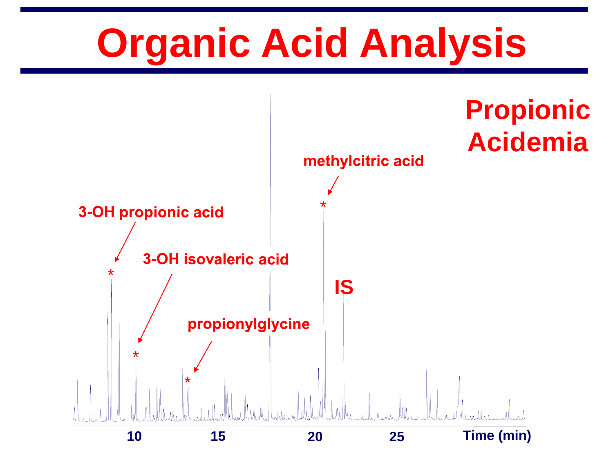# **Organic Acid Analysis**

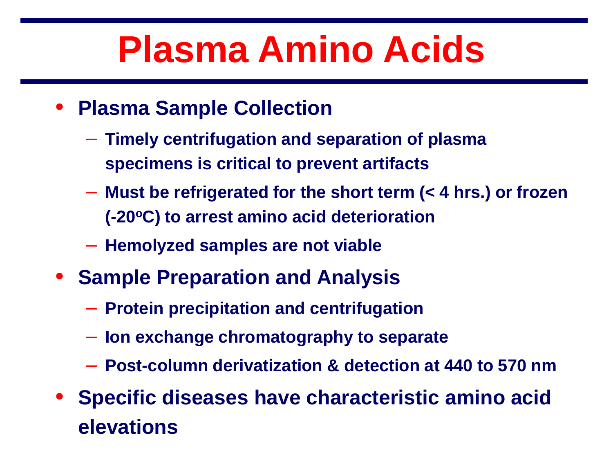## **Plasma Amino Acids**

- **Plasma Sample Collection** 
	- **Timely centrifugation and separation of plasma specimens is critical to prevent artifacts**
	- **Must be refrigerated for the short term (< 4 hrs.) or frozen (-20oC) to arrest amino acid deterioration**
	- **Hemolyzed samples are not viable**
- **Sample Preparation and Analysis**
	- **Protein precipitation and centrifugation**
	- **Ion exchange chromatography to separate**
	- **Post-column derivatization & detection at 440 to 570 nm**
- **Specific diseases have characteristic amino acid elevations**